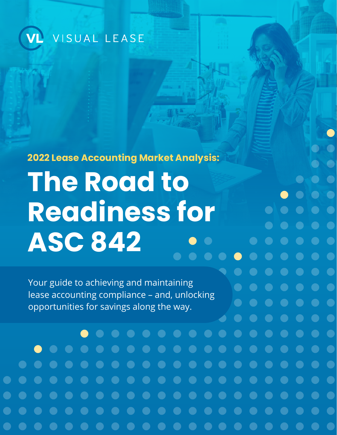

**2022 Lease Accounting Market Analysis: The Road to Readiness for ASC 842** 

**C** 

 $\bullet$ 

Your guide to achieving and maintaining lease accounting compliance – and, unlocking opportunities for savings along the way.

 $\blacksquare$ 

 $\qquad \qquad \bullet$ 

 $\bullet$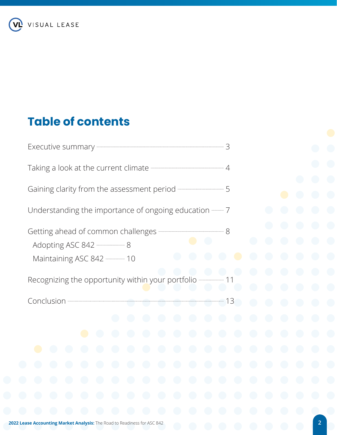

# **Table of contents**

| Executive summary - 3                                                             |                                                                        |                                        |                          |                                        |                                        |            |                                        |            |                                        |                                        |                                               |                                        |                                        |  |
|-----------------------------------------------------------------------------------|------------------------------------------------------------------------|----------------------------------------|--------------------------|----------------------------------------|----------------------------------------|------------|----------------------------------------|------------|----------------------------------------|----------------------------------------|-----------------------------------------------|----------------------------------------|----------------------------------------|--|
|                                                                                   |                                                                        |                                        |                          |                                        |                                        |            |                                        |            |                                        |                                        |                                               |                                        |                                        |  |
| Gaining clarity from the assessment period ———————————————5                       |                                                                        |                                        |                          |                                        |                                        |            |                                        |            |                                        |                                        |                                               |                                        |                                        |  |
| Understanding the importance of ongoing education ——————————————————————————————— |                                                                        |                                        |                          |                                        |                                        |            |                                        |            |                                        |                                        |                                               |                                        |                                        |  |
| Maintaining ASC 842 - 10                                                          |                                                                        |                                        |                          |                                        |                                        |            |                                        |            |                                        |                                        | e d<br>$\begin{pmatrix} 1 \\ 1 \end{pmatrix}$ |                                        |                                        |  |
| Recognizing the opportunity within your portfolio ————                            |                                                                        |                                        |                          |                                        |                                        |            |                                        |            |                                        |                                        | $\bigodot$<br>$\bigodot$                      |                                        |                                        |  |
|                                                                                   |                                                                        |                                        |                          |                                        |                                        |            |                                        |            | $\bigodot$                             |                                        |                                               |                                        |                                        |  |
|                                                                                   |                                                                        |                                        |                          | $\begin{pmatrix} 1 \\ 1 \end{pmatrix}$ | $\bigodot$                             | $\bigodot$ | $\begin{pmatrix} 1 \\ 1 \end{pmatrix}$ | $(\ )$     | $\begin{pmatrix} 1 \\ 1 \end{pmatrix}$ | $\begin{pmatrix} 1 \\ 1 \end{pmatrix}$ |                                               | $\bigodot$                             | $\bigodot$                             |  |
|                                                                                   |                                                                        |                                        | $\overline{\phantom{0}}$ | $\bigodot$                             | $\bigodot$                             | $\bigodot$ | $\bigodot$                             | $\bigodot$ | $\bigodot$                             | $\bigodot$                             | $\bigodot$                                    | $\bigodot$                             | $\bigodot$                             |  |
|                                                                                   | $\left( \begin{array}{c} \hline \ \hline \ \hline \end{array} \right)$ | $\begin{pmatrix} 1 \\ 1 \end{pmatrix}$ | $\bigodot$               | $\bigodot$                             | $\bigodot$                             | $\bigodot$ | $\bigodot$                             | $\bigodot$ | $\bigodot$                             | $\bigodot$                             | $\bigodot$                                    | $\bigodot$                             | $\begin{pmatrix} 1 \\ 1 \end{pmatrix}$ |  |
| $\bigodot$                                                                        | $\bigodot$<br>$\bigodot$                                               | $\bigodot$                             | $\bigodot$               | $\bigodot$                             | $\bigodot$                             | $\bigodot$ | $\bigodot$                             | $\bigodot$ | $\bigodot$                             | $\bigodot$                             |                                               | $\bigodot$                             | $\bigodot$                             |  |
| $\bigodot$                                                                        | $\bigodot$<br>$\bigodot$                                               | $\bigodot$                             | $\bigodot$               | $\bigodot$                             | $\bigodot$                             | $\bigodot$ | $\bigodot$                             | $\bigodot$ | $\bigodot$                             | $\bigodot$                             | $\bigodot$                                    | $\bigodot$                             | $\bigodot$                             |  |
|                                                                                   | $\bigodot$<br>$\begin{pmatrix} 1 \\ 1 \end{pmatrix}$                   | $\bigodot$                             | $\bigodot$               | $\bigodot$                             | $\bigodot$                             | $\bigodot$ | $\bigodot$                             | $\bigodot$ | $\bigodot$                             | $\bigodot$                             | $\bigodot$                                    | $\bigodot$                             | $\bigodot$                             |  |
|                                                                                   |                                                                        |                                        | $\overline{\phantom{0}}$ |                                        | $\begin{pmatrix} 1 \\ 1 \end{pmatrix}$ |            | $(\ )$                                 |            | $\begin{pmatrix} 1 \end{pmatrix}$      |                                        |                                               | $\begin{pmatrix} 1 \\ 1 \end{pmatrix}$ |                                        |  |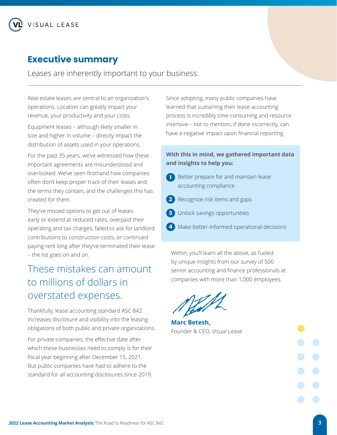## <span id="page-2-0"></span>**Executive summary**

Leases are inherently important to your business.

Real estate leases are central to an organization's operations. Location can greatly impact your revenue, your productivity and your costs.

Equipment leases – although likely smaller in size and higher in volume – directly impact the distribution of assets used in your operations.

For the past 35 years, we've witnessed how these important agreements are misunderstood and overlooked. We've seen firsthand how companies often don't keep proper track of their leases and the terms they contain, and the challenges this has created for them.

They've missed options to get out of leases early or extend at reduced rates, overpaid their operating and tax charges, failed to ask for landlord contributions to construction costs, or continued paying rent long after they've terminated their lease – the list goes on and on.

## These mistakes can amount to millions of dollars in overstated expenses.

Thankfully, lease accounting standard ASC 842 increases disclosure and visibility into the leasing obligations of both public and private organizations.

For private companies, the effective date after which these businesses need to comply is for their fiscal year beginning after December 15, 2021. But public companies have had to adhere to the standard for all accounting disclosures since 2019. Since adopting, many public companies have learned that sustaining their lease accounting process is incredibly time-consuming and resource intensive – not to mention, if done incorrectly, can have a negative impact upon financial reporting.

### **With this in mind, we gathered important data and insights to help you:**

- **1** Better prepare for and maintain lease accounting compliance
- **2** Recognize risk items and gaps
	-
- **3** Unlock savings opportunities
- **4** Make better-informed operational decisions

Within, you'll learn all the above, as fueled by unique insights from our survey of 500 senior accounting and finance professionals at companies with more than 1,000 employees.



**Marc Betesh,**  Founder & CEO, Visual Lease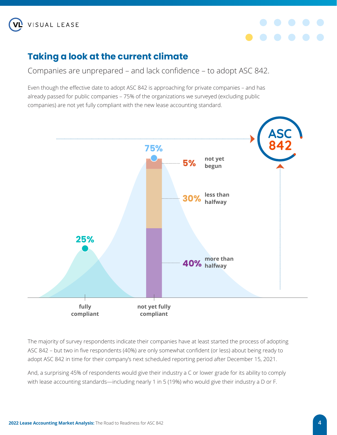<span id="page-3-0"></span>



## **Taking a look at the current climate**

Companies are unprepared – and lack confidence – to adopt ASC 842.

Even though the effective date to adopt ASC 842 is approaching for private companies – and has already passed for public companies – 75% of the organizations we surveyed (excluding public companies) are not yet fully compliant with the new lease accounting standard.



The majority of survey respondents indicate their companies have at least started the process of adopting ASC 842 – but two in five respondents (40%) are only somewhat confident (or less) about being ready to adopt ASC 842 in time for their company's next scheduled reporting period after December 15, 2021.

And, a surprising 45% of respondents would give their industry a C or lower grade for its ability to comply with lease accounting standards—including nearly 1 in 5 (19%) who would give their industry a D or F.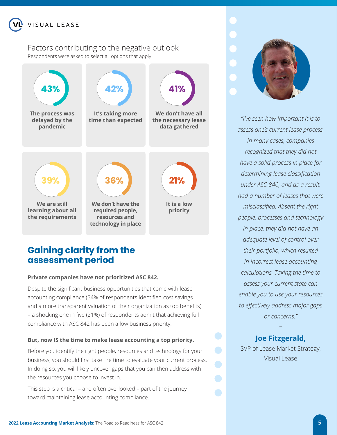<span id="page-4-0"></span>

## Factors contributing to the negative outlook

Respondents were asked to select all options that apply



## **Gaining clarity from the assessment period**

#### **Private companies have not prioritized ASC 842.**

Despite the significant business opportunities that come with lease accounting compliance (54% of respondents identified cost savings and a more transparent valuation of their organization as top benefits) – a shocking one in five (21%) of respondents admit that achieving full compliance with ASC 842 has been a low business priority.

#### **But, now IS the time to make lease accounting a top priority.**

Before you identify the right people, resources and technology for your business, you should first take the time to evaluate your current process. In doing so, you will likely uncover gaps that you can then address with the resources you choose to invest in.

This step is a critical – and often overlooked – part of the journey toward maintaining lease accounting compliance.



*"I've seen how important it is to assess one's current lease process. In many cases, companies recognized that they did not have a solid process in place for determining lease classification under ASC 840, and as a result, had a number of leases that were misclassified. Absent the right people, processes and technology in place, they did not have an adequate level of control over their portfolio, which resulted in incorrect lease accounting calculations. Taking the time to assess your current state can enable you to use your resources to effectively address major gaps or concerns."*

### **Joe Fitzgerald,**

–

SVP of Lease Market Strategy, Visual Lease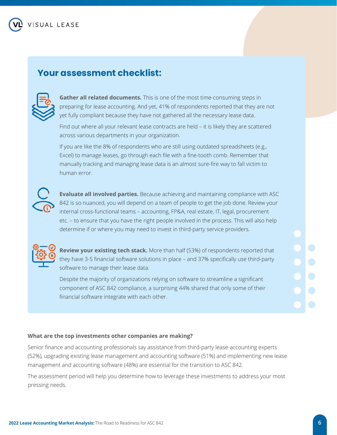### **Your assessment checklist:**



**Gather all related documents.** This is one of the most time-consuming steps in preparing for lease accounting. And yet, 41% of respondents reported that they are not yet fully compliant because they have not gathered all the necessary lease data.

Find out where all your relevant lease contracts are held – it is likely they are scattered across various departments in your organization.

If you are like the 8% of respondents who are still using outdated spreadsheets (e.g., Excel) to manage leases, go through each file with a fine-tooth comb. Remember that manually tracking and managing lease data is an almost sure-fire way to fall victim to human error.



**Evaluate all involved parties.** Because achieving and maintaining compliance with ASC 842 is so nuanced, you will depend on a team of people to get the job done. Review your internal cross-functional teams – accounting, FP&A, real estate, IT, legal, procurement etc. – to ensure that you have the right people involved in the process. This will also help determine if or where you may need to invest in third-party service providers.



**Review your existing tech stack.** More than half (53%) of respondents reported that they have 3-5 financial software solutions in place – and 37% specifically use third-party software to manage their lease data.

Despite the majority of organizations relying on software to streamline a significant component of ASC 842 compliance, a surprising 44% shared that only some of their financial software integrate with each other.

#### **What are the top investments other companies are making?**

Senior finance and accounting professionals say assistance from third-party lease-accounting experts (52%), upgrading existing lease management and accounting software (51%) and implementing new lease management and accounting software (48%) are essential for the transition to ASC 842.

The assessment period will help you determine how to leverage these investments to address your most pressing needs.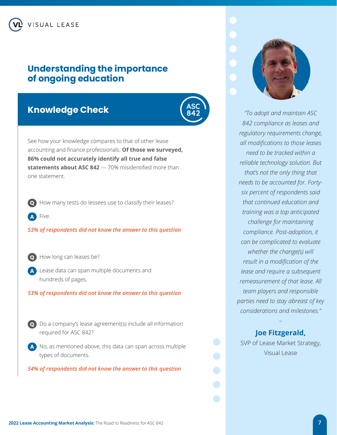### <span id="page-6-0"></span>**Understanding the importance of ongoing education**

### **Knowledge Check**



See how your knowledge compares to that of other lease accounting and finance professionals. **Of those we surveyed, 86% could not accurately identify all true and false statements about ASC 842** — 70% misidentified more than one statement.

How many tests do lessees use to classify their leases?

**A** Five.

*53% of respondents did not know the answer to this question*



How long can leases be?

**A** Lease data can span multiple documents and hundreds of pages.

*53% of respondents did not know the answer to this question*



**Q** Do a company's lease agreement(s) include all information required for ASC 842?

**A** No, as mentioned above, this data can span across multiple types of documents.

*54% of respondents did not know the answer to this question*



*"To adopt and maintain ASC 842 compliance as leases and regulatory requirements change, all modifications to those leases need to be tracked within a reliable technology solution. But that's not the only thing that needs to be accounted for. Fortysix percent of respondents said that continued education and training was a top anticipated challenge for maintaining compliance. Post-adoption, it can be complicated to evaluate whether the change(s) will result in a modification of the lease and require a subsequent remeasurement of that lease. All team players and responsible parties need to stay abreast of key considerations and milestones."* 

### **Joe Fitzgerald,**

–

SVP of Lease Market Strategy, Visual Lease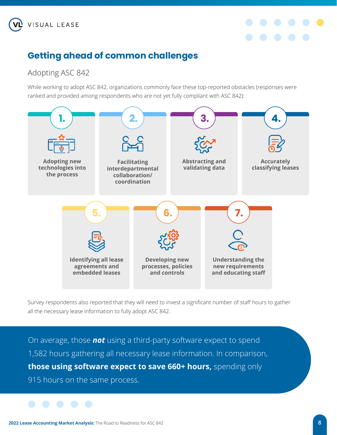<span id="page-7-0"></span>



## **Getting ahead of common challenges**

## Adopting ASC 842

While working to adopt ASC 842, organizations commonly face these top-reported obstacles (responses were ranked and provided among respondents who are not yet fully compliant with ASC 842):



Survey respondents also reported that they will need to invest a significant number of staff hours to gather all the necessary lease information to fully adopt ASC 842.

On average, those *not* using a third-party software expect to spend 1,582 hours gathering all necessary lease information. In comparison, **those using software expect to save 660+ hours,** spending only 915 hours on the same process.

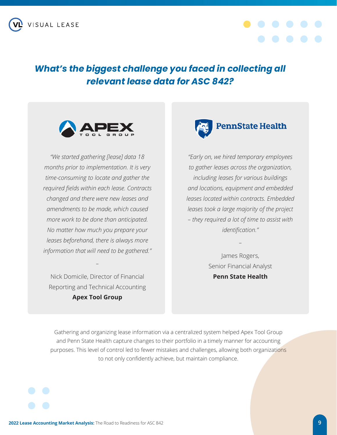

## *What's the biggest challenge you faced in collecting all relevant lease data for ASC 842?*



*"We started gathering [lease] data 18 months prior to implementation. It is very time-consuming to locate and gather the required fields within each lease. Contracts changed and there were new leases and amendments to be made, which caused more work to be done than anticipated. No matter how much you prepare your leases beforehand, there is always more information that will need to be gathered."*

Nick Domicile, Director of Financial Reporting and Technical Accounting **Apex Tool Group**

*–*



*"Early on, we hired temporary employees to gather leases across the organization, including leases for various buildings and locations, equipment and embedded leases located within contracts. Embedded leases took a large majority of the project – they required a lot of time to assist with identification."* 

> James Rogers, Senior Financial Analyst **Penn State Health**

*–*

Gathering and organizing lease information via a centralized system helped Apex Tool Group and Penn State Health capture changes to their portfolio in a timely manner for accounting purposes. This level of control led to fewer mistakes and challenges, allowing both organizations to not only confidently achieve, but maintain compliance.

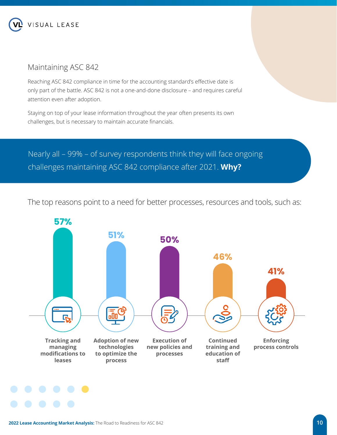<span id="page-9-0"></span>

### Maintaining ASC 842

Reaching ASC 842 compliance in time for the accounting standard's effective date is only part of the battle. ASC 842 is not a one-and-done disclosure – and requires careful attention even after adoption.

Staying on top of your lease information throughout the year often presents its own challenges, but is necessary to maintain accurate financials.

Nearly all – 99% – of survey respondents think they will face ongoing challenges maintaining ASC 842 compliance after 2021. **Why?**

The top reasons point to a need for better processes, resources and tools, such as:

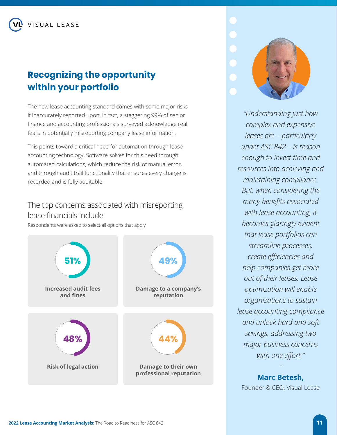<span id="page-10-0"></span>VISUAL LEASE

## **Recognizing the opportunity within your portfolio**

The new lease accounting standard comes with some major risks if inaccurately reported upon. In fact, a staggering 99% of senior finance and accounting professionals surveyed acknowledge real fears in potentially misreporting company lease information.

This points toward a critical need for automation through lease accounting technology. Software solves for this need through automated calculations, which reduce the risk of manual error, and through audit trail functionality that ensures every change is recorded and is fully auditable.

### The top concerns associated with misreporting lease financials include:

Respondents were asked to select all options that apply





*"Understanding just how complex and expensive leases are – particularly under ASC 842 – is reason enough to invest time and resources into achieving and maintaining compliance. But, when considering the many benefits associated with lease accounting, it becomes glaringly evident that lease portfolios can streamline processes, create efficiencies and help companies get more out of their leases. Lease optimization will enable organizations to sustain lease accounting compliance and unlock hard and soft savings, addressing two major business concerns with one effort."* 

**Marc Betesh,**  Founder & CEO, Visual Lease

–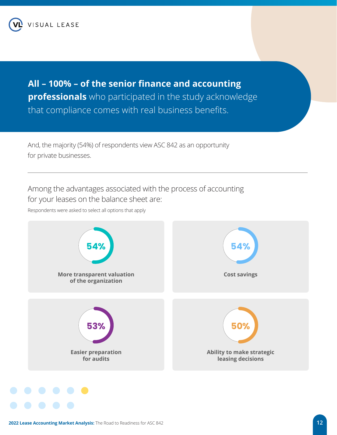**All – 100% – of the senior finance and accounting professionals** who participated in the study acknowledge that compliance comes with real business benefits.

And, the majority (54%) of respondents view ASC 842 as an opportunity for private businesses.

Among the advantages associated with the process of accounting for your leases on the balance sheet are:

Respondents were asked to select all options that apply

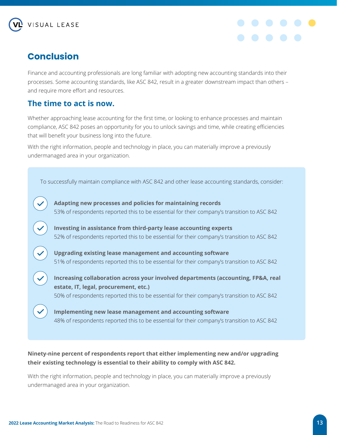<span id="page-12-0"></span>



## **Conclusion**

Finance and accounting professionals are long familiar with adopting new accounting standards into their processes. Some accounting standards, like ASC 842, result in a greater downstream impact than others – and require more effort and resources.

### **The time to act is now.**

Whether approaching lease accounting for the first time, or looking to enhance processes and maintain compliance, ASC 842 poses an opportunity for you to unlock savings and time, while creating efficiencies that will benefit your business long into the future.

With the right information, people and technology in place, you can materially improve a previously undermanaged area in your organization.



### **Ninety-nine percent of respondents report that either implementing new and/or upgrading their existing technology is essential to their ability to comply with ASC 842.**

With the right information, people and technology in place, you can materially improve a previously undermanaged area in your organization.